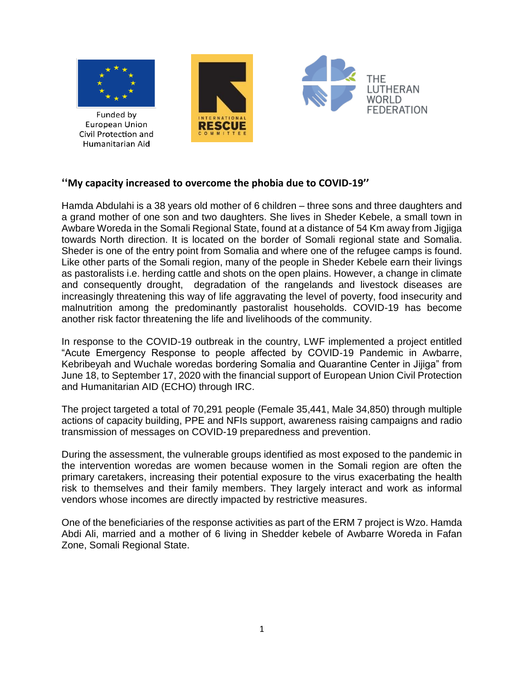

Funded by **European Union** Civil Protection and Humanitarian Aid





## **''My capacity increased to overcome the phobia due to COVID-19''**

Hamda Abdulahi is a 38 years old mother of 6 children – three sons and three daughters and a grand mother of one son and two daughters. She lives in Sheder Kebele, a small town in Awbare Woreda in the Somali Regional State, found at a distance of 54 Km away from Jigjiga towards North direction. It is located on the border of Somali regional state and Somalia. Sheder is one of the entry point from Somalia and where one of the refugee camps is found. Like other parts of the Somali region, many of the people in Sheder Kebele earn their livings as pastoralists i.e. herding cattle and shots on the open plains. However, a change in climate and consequently drought, degradation of the rangelands and livestock diseases are increasingly threatening this way of life aggravating the level of poverty, food insecurity and malnutrition among the predominantly pastoralist households. COVID-19 has become another risk factor threatening the life and livelihoods of the community.

In response to the COVID-19 outbreak in the country, LWF implemented a project entitled "Acute Emergency Response to people affected by COVID-19 Pandemic in Awbarre, Kebribeyah and Wuchale woredas bordering Somalia and Quarantine Center in Jijiga" from June 18, to September 17, 2020 with the financial support of European Union Civil Protection and Humanitarian AID (ECHO) through IRC.

The project targeted a total of 70,291 people (Female 35,441, Male 34,850) through multiple actions of capacity building, PPE and NFIs support, awareness raising campaigns and radio transmission of messages on COVID-19 preparedness and prevention.

During the assessment, the vulnerable groups identified as most exposed to the pandemic in the intervention woredas are women because women in the Somali region are often the primary caretakers, increasing their potential exposure to the virus exacerbating the health risk to themselves and their family members. They largely interact and work as informal vendors whose incomes are directly impacted by restrictive measures.

One of the beneficiaries of the response activities as part of the ERM 7 project is Wzo. Hamda Abdi Ali, married and a mother of 6 living in Shedder kebele of Awbarre Woreda in Fafan Zone, Somali Regional State.